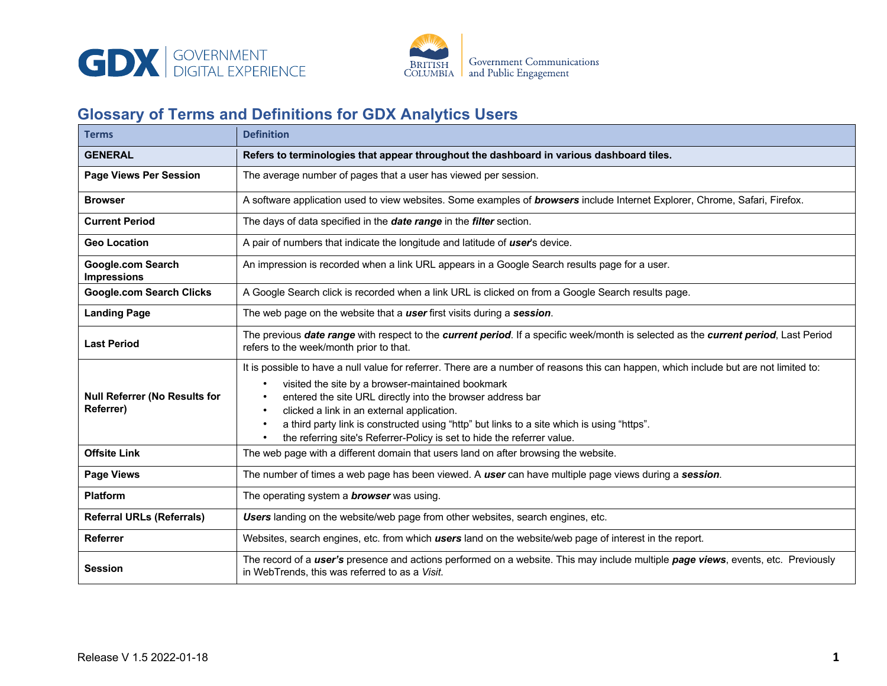



## **Glossary of Terms and Definitions for GDX Analytics Users**

| <b>Terms</b>                                             | <b>Definition</b>                                                                                                                                                                                                                                                                                                                                                                                                                                                                |
|----------------------------------------------------------|----------------------------------------------------------------------------------------------------------------------------------------------------------------------------------------------------------------------------------------------------------------------------------------------------------------------------------------------------------------------------------------------------------------------------------------------------------------------------------|
| <b>GENERAL</b>                                           | Refers to terminologies that appear throughout the dashboard in various dashboard tiles.                                                                                                                                                                                                                                                                                                                                                                                         |
| <b>Page Views Per Session</b>                            | The average number of pages that a user has viewed per session.                                                                                                                                                                                                                                                                                                                                                                                                                  |
| <b>Browser</b>                                           | A software application used to view websites. Some examples of <b>browsers</b> include Internet Explorer, Chrome, Safari, Firefox.                                                                                                                                                                                                                                                                                                                                               |
| <b>Current Period</b>                                    | The days of data specified in the date range in the filter section.                                                                                                                                                                                                                                                                                                                                                                                                              |
| <b>Geo Location</b>                                      | A pair of numbers that indicate the longitude and latitude of user's device.                                                                                                                                                                                                                                                                                                                                                                                                     |
| <b>Google.com Search</b><br><b>Impressions</b>           | An impression is recorded when a link URL appears in a Google Search results page for a user.                                                                                                                                                                                                                                                                                                                                                                                    |
| <b>Google.com Search Clicks</b>                          | A Google Search click is recorded when a link URL is clicked on from a Google Search results page.                                                                                                                                                                                                                                                                                                                                                                               |
| <b>Landing Page</b>                                      | The web page on the website that a user first visits during a session.                                                                                                                                                                                                                                                                                                                                                                                                           |
| <b>Last Period</b>                                       | The previous date range with respect to the current period. If a specific week/month is selected as the current period, Last Period<br>refers to the week/month prior to that.                                                                                                                                                                                                                                                                                                   |
| <b>Null Referrer (No Results for</b><br><b>Referrer)</b> | It is possible to have a null value for referrer. There are a number of reasons this can happen, which include but are not limited to:<br>visited the site by a browser-maintained bookmark<br>entered the site URL directly into the browser address bar<br>clicked a link in an external application.<br>a third party link is constructed using "http" but links to a site which is using "https".<br>the referring site's Referrer-Policy is set to hide the referrer value. |
| <b>Offsite Link</b>                                      | The web page with a different domain that users land on after browsing the website.                                                                                                                                                                                                                                                                                                                                                                                              |
| <b>Page Views</b>                                        | The number of times a web page has been viewed. A user can have multiple page views during a session.                                                                                                                                                                                                                                                                                                                                                                            |
| <b>Platform</b>                                          | The operating system a <b>browser</b> was using.                                                                                                                                                                                                                                                                                                                                                                                                                                 |
| <b>Referral URLs (Referrals)</b>                         | Users landing on the website/web page from other websites, search engines, etc.                                                                                                                                                                                                                                                                                                                                                                                                  |
| <b>Referrer</b>                                          | Websites, search engines, etc. from which users land on the website/web page of interest in the report.                                                                                                                                                                                                                                                                                                                                                                          |
| <b>Session</b>                                           | The record of a user's presence and actions performed on a website. This may include multiple page views, events, etc. Previously<br>in WebTrends, this was referred to as a Visit.                                                                                                                                                                                                                                                                                              |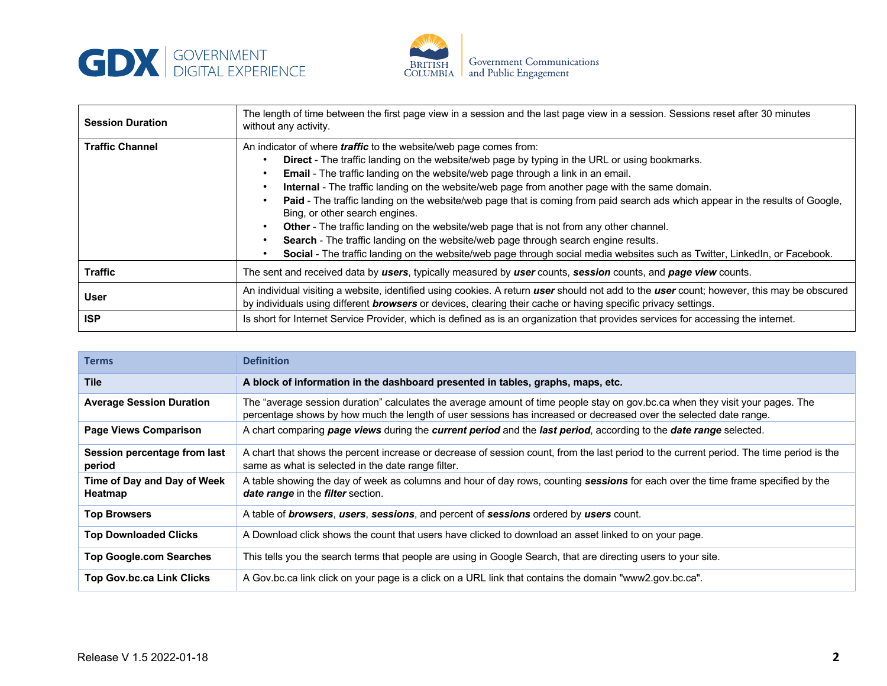



| <b>Session Duration</b> | The length of time between the first page view in a session and the last page view in a session. Sessions reset after 30 minutes<br>without any activity.                                                                                                                                                                                                                                                                                                                                                                                                                                                                                                                                                                                                                                                                                         |
|-------------------------|---------------------------------------------------------------------------------------------------------------------------------------------------------------------------------------------------------------------------------------------------------------------------------------------------------------------------------------------------------------------------------------------------------------------------------------------------------------------------------------------------------------------------------------------------------------------------------------------------------------------------------------------------------------------------------------------------------------------------------------------------------------------------------------------------------------------------------------------------|
| <b>Traffic Channel</b>  | An indicator of where <i>traffic</i> to the website/web page comes from:<br>Direct - The traffic landing on the website/web page by typing in the URL or using bookmarks.<br>Email - The traffic landing on the website/web page through a link in an email.<br>Internal - The traffic landing on the website/web page from another page with the same domain.<br>Paid - The traffic landing on the website/web page that is coming from paid search ads which appear in the results of Google,<br>Bing, or other search engines.<br>Other - The traffic landing on the website/web page that is not from any other channel.<br>Search - The traffic landing on the website/web page through search engine results.<br>Social - The traffic landing on the website/web page through social media websites such as Twitter, LinkedIn, or Facebook. |
| <b>Traffic</b>          | The sent and received data by users, typically measured by user counts, session counts, and page view counts.                                                                                                                                                                                                                                                                                                                                                                                                                                                                                                                                                                                                                                                                                                                                     |
| <b>User</b>             | An individual visiting a website, identified using cookies. A return user should not add to the user count; however, this may be obscured<br>by individuals using different <b>browsers</b> or devices, clearing their cache or having specific privacy settings.                                                                                                                                                                                                                                                                                                                                                                                                                                                                                                                                                                                 |
| <b>ISP</b>              | Is short for Internet Service Provider, which is defined as is an organization that provides services for accessing the internet.                                                                                                                                                                                                                                                                                                                                                                                                                                                                                                                                                                                                                                                                                                                 |

| Terms                                  | <b>Definition</b>                                                                                                                                                                                                                                  |
|----------------------------------------|----------------------------------------------------------------------------------------------------------------------------------------------------------------------------------------------------------------------------------------------------|
| <b>Tile</b>                            | A block of information in the dashboard presented in tables, graphs, maps, etc.                                                                                                                                                                    |
| <b>Average Session Duration</b>        | The "average session duration" calculates the average amount of time people stay on gov.bc.ca when they visit your pages. The<br>percentage shows by how much the length of user sessions has increased or decreased over the selected date range. |
| <b>Page Views Comparison</b>           | A chart comparing page views during the current period and the last period, according to the date range selected.                                                                                                                                  |
| Session percentage from last<br>period | A chart that shows the percent increase or decrease of session count, from the last period to the current period. The time period is the<br>same as what is selected in the date range filter.                                                     |
| Time of Day and Day of Week<br>Heatmap | A table showing the day of week as columns and hour of day rows, counting sessions for each over the time frame specified by the<br><b>date range</b> in the <b>filter</b> section.                                                                |
| <b>Top Browsers</b>                    | A table of <i>browsers</i> , <i>users</i> , <i>sessions</i> , and percent of <i>sessions</i> ordered by <i>users</i> count.                                                                                                                        |
| <b>Top Downloaded Clicks</b>           | A Download click shows the count that users have clicked to download an asset linked to on your page.                                                                                                                                              |
| <b>Top Google.com Searches</b>         | This tells you the search terms that people are using in Google Search, that are directing users to your site.                                                                                                                                     |
| <b>Top Gov.bc.ca Link Clicks</b>       | A Gov.bc.ca link click on your page is a click on a URL link that contains the domain "www2.gov.bc.ca".                                                                                                                                            |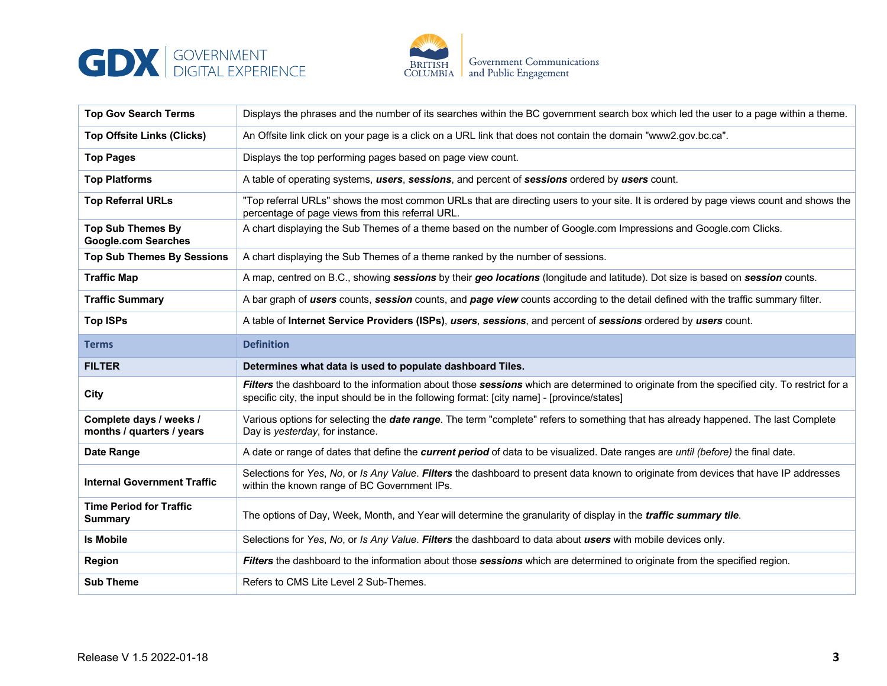



| <b>Top Gov Search Terms</b>                            | Displays the phrases and the number of its searches within the BC government search box which led the user to a page within a theme.                                                                                                      |
|--------------------------------------------------------|-------------------------------------------------------------------------------------------------------------------------------------------------------------------------------------------------------------------------------------------|
| <b>Top Offsite Links (Clicks)</b>                      | An Offsite link click on your page is a click on a URL link that does not contain the domain "www2.gov.bc.ca".                                                                                                                            |
| <b>Top Pages</b>                                       | Displays the top performing pages based on page view count.                                                                                                                                                                               |
| <b>Top Platforms</b>                                   | A table of operating systems, users, sessions, and percent of sessions ordered by users count.                                                                                                                                            |
| <b>Top Referral URLs</b>                               | "Top referral URLs" shows the most common URLs that are directing users to your site. It is ordered by page views count and shows the<br>percentage of page views from this referral URL.                                                 |
| <b>Top Sub Themes By</b><br><b>Google.com Searches</b> | A chart displaying the Sub Themes of a theme based on the number of Google.com Impressions and Google.com Clicks.                                                                                                                         |
| <b>Top Sub Themes By Sessions</b>                      | A chart displaying the Sub Themes of a theme ranked by the number of sessions.                                                                                                                                                            |
| <b>Traffic Map</b>                                     | A map, centred on B.C., showing sessions by their geo locations (longitude and latitude). Dot size is based on session counts.                                                                                                            |
| <b>Traffic Summary</b>                                 | A bar graph of users counts, session counts, and page view counts according to the detail defined with the traffic summary filter.                                                                                                        |
| <b>Top ISPs</b>                                        | A table of Internet Service Providers (ISPs), users, sessions, and percent of sessions ordered by users count.                                                                                                                            |
| <b>Terms</b>                                           | <b>Definition</b>                                                                                                                                                                                                                         |
|                                                        |                                                                                                                                                                                                                                           |
| <b>FILTER</b>                                          | Determines what data is used to populate dashboard Tiles.                                                                                                                                                                                 |
| City                                                   | Filters the dashboard to the information about those sessions which are determined to originate from the specified city. To restrict for a<br>specific city, the input should be in the following format: [city name] - [province/states] |
| Complete days / weeks /<br>months / quarters / years   | Various options for selecting the <i>date range</i> . The term "complete" refers to something that has already happened. The last Complete<br>Day is yesterday, for instance.                                                             |
| Date Range                                             | A date or range of dates that define the current period of data to be visualized. Date ranges are until (before) the final date.                                                                                                          |
| <b>Internal Government Traffic</b>                     | Selections for Yes, No, or Is Any Value. Filters the dashboard to present data known to originate from devices that have IP addresses<br>within the known range of BC Government IPs.                                                     |
| <b>Time Period for Traffic</b><br><b>Summary</b>       | The options of Day, Week, Month, and Year will determine the granularity of display in the <i>traffic summary tile</i> .                                                                                                                  |
| <b>Is Mobile</b>                                       | Selections for Yes, No, or Is Any Value. Filters the dashboard to data about users with mobile devices only.                                                                                                                              |
| Region                                                 | Filters the dashboard to the information about those sessions which are determined to originate from the specified region.                                                                                                                |